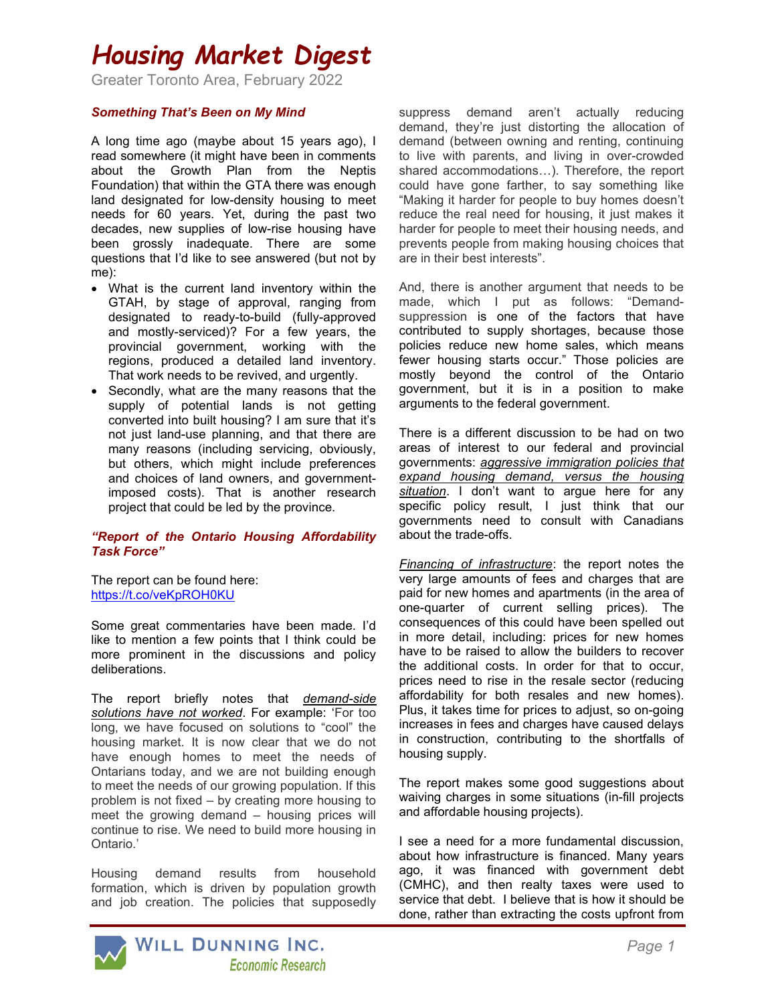## Housing Market Digest

Greater Toronto Area, February 2022

### Something That's Been on My Mind

A long time ago (maybe about 15 years ago), I read somewhere (it might have been in comments about the Growth Plan from the Neptis Foundation) that within the GTA there was enough land designated for low-density housing to meet needs for 60 years. Yet, during the past two decades, new supplies of low-rise housing have been grossly inadequate. There are some questions that I'd like to see answered (but not by me):

- What is the current land inventory within the GTAH, by stage of approval, ranging from designated to ready-to-build (fully-approved and mostly-serviced)? For a few years, the provincial government, working with the regions, produced a detailed land inventory. That work needs to be revived, and urgently.
- Secondly, what are the many reasons that the supply of potential lands is not getting converted into built housing? I am sure that it's not just land-use planning, and that there are many reasons (including servicing, obviously, but others, which might include preferences and choices of land owners, and governmentimposed costs). That is another research project that could be led by the province.

### "Report of the Ontario Housing Affordability Task Force"

The report can be found here: https://t.co/veKpROH0KU

Some great commentaries have been made. I'd like to mention a few points that I think could be more prominent in the discussions and policy deliberations.

The report briefly notes that *demand-side* solutions have not worked. For example: 'For too long, we have focused on solutions to "cool" the housing market. It is now clear that we do not have enough homes to meet the needs of Ontarians today, and we are not building enough to meet the needs of our growing population. If this problem is not fixed – by creating more housing to meet the growing demand – housing prices will continue to rise. We need to build more housing in Ontario.'

Housing demand results from household formation, which is driven by population growth and job creation. The policies that supposedly suppress demand aren't actually reducing demand, they're just distorting the allocation of demand (between owning and renting, continuing to live with parents, and living in over-crowded shared accommodations…). Therefore, the report could have gone farther, to say something like "Making it harder for people to buy homes doesn't reduce the real need for housing, it just makes it harder for people to meet their housing needs, and prevents people from making housing choices that are in their best interests".

And, there is another argument that needs to be made, which I put as follows: "Demandsuppression is one of the factors that have contributed to supply shortages, because those policies reduce new home sales, which means fewer housing starts occur." Those policies are mostly beyond the control of the Ontario government, but it is in a position to make arguments to the federal government.

There is a different discussion to be had on two areas of interest to our federal and provincial governments: aggressive immigration policies that expand housing demand, versus the housing situation. I don't want to arque here for any specific policy result, I just think that our governments need to consult with Canadians about the trade-offs.

Financing of infrastructure: the report notes the very large amounts of fees and charges that are paid for new homes and apartments (in the area of one-quarter of current selling prices). The consequences of this could have been spelled out in more detail, including: prices for new homes have to be raised to allow the builders to recover the additional costs. In order for that to occur, prices need to rise in the resale sector (reducing affordability for both resales and new homes). Plus, it takes time for prices to adjust, so on-going increases in fees and charges have caused delays in construction, contributing to the shortfalls of housing supply.

The report makes some good suggestions about waiving charges in some situations (in-fill projects and affordable housing projects).

I see a need for a more fundamental discussion, about how infrastructure is financed. Many years ago, it was financed with government debt (CMHC), and then realty taxes were used to service that debt. I believe that is how it should be done, rather than extracting the costs upfront from